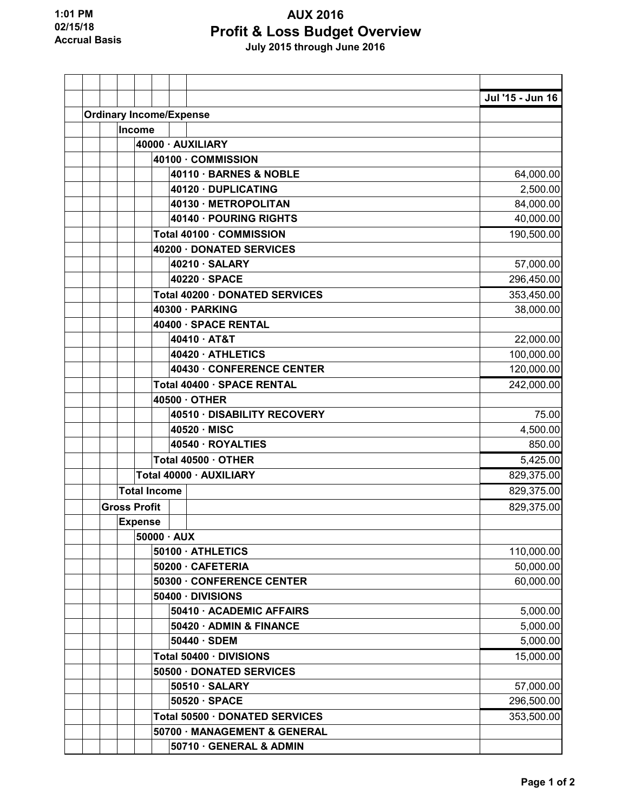## **AUX 2016 Profit & Loss Budget Overview July 2015 through June 2016**

|                                |                |                          |                                      | Jul '15 - Jun 16 |
|--------------------------------|----------------|--------------------------|--------------------------------------|------------------|
| <b>Ordinary Income/Expense</b> |                |                          |                                      |                  |
|                                | Income         |                          |                                      |                  |
|                                |                |                          | 40000 · AUXILIARY                    |                  |
|                                |                |                          | 40100 · COMMISSION                   |                  |
|                                |                |                          | 40110 · BARNES & NOBLE               | 64,000.00        |
|                                |                |                          | 40120 · DUPLICATING                  | 2,500.00         |
|                                |                |                          | 40130 · METROPOLITAN                 | 84,000.00        |
|                                |                |                          | 40140 · POURING RIGHTS               | 40,000.00        |
|                                |                |                          | Total 40100 · COMMISSION             | 190,500.00       |
|                                |                |                          | 40200 · DONATED SERVICES             |                  |
|                                |                |                          | 40210 · SALARY                       | 57,000.00        |
|                                |                |                          | 40220 · SPACE                        | 296,450.00       |
|                                |                |                          | Total 40200 · DONATED SERVICES       | 353,450.00       |
|                                |                |                          | 40300 · PARKING                      | 38,000.00        |
|                                |                |                          | 40400 · SPACE RENTAL<br>40410 · AT&T | 22,000.00        |
|                                |                |                          | 40420 · ATHLETICS                    | 100,000.00       |
|                                |                |                          | 40430 · CONFERENCE CENTER            | 120,000.00       |
|                                |                |                          | Total 40400 · SPACE RENTAL           | 242,000.00       |
|                                |                |                          | 40500 · OTHER                        |                  |
|                                |                |                          | 40510 · DISABILITY RECOVERY          | 75.00            |
|                                |                |                          | 40520 · MISC                         | 4,500.00         |
|                                |                |                          | 40540 · ROYALTIES                    | 850.00           |
|                                |                |                          | Total 40500 · OTHER                  | 5,425.00         |
|                                |                |                          | Total 40000 · AUXILIARY              | 829,375.00       |
|                                |                | <b>Total Income</b>      |                                      | 829,375.00       |
| <b>Gross Profit</b>            |                |                          |                                      | 829,375.00       |
|                                | <b>Expense</b> |                          |                                      |                  |
|                                |                | $50000 \cdot \text{AUX}$ |                                      |                  |
|                                |                |                          | 50100 · ATHLETICS                    | 110,000.00       |
|                                |                |                          | 50200 · CAFETERIA                    | 50,000.00        |
|                                |                |                          | 50300 · CONFERENCE CENTER            | 60,000.00        |
|                                |                |                          | 50400 · DIVISIONS                    |                  |
|                                |                |                          | 50410 · ACADEMIC AFFAIRS             | 5,000.00         |
|                                |                |                          | 50420 · ADMIN & FINANCE              | 5,000.00         |
|                                |                |                          | 50440 · SDEM                         | 5,000.00         |
|                                |                |                          | Total 50400 · DIVISIONS              | 15,000.00        |
|                                |                |                          | 50500 · DONATED SERVICES             |                  |
|                                |                |                          | $50510 \cdot SALARY$                 | 57,000.00        |
|                                |                |                          | $50520 \cdot SPACE$                  | 296,500.00       |
|                                |                |                          | Total 50500 · DONATED SERVICES       | 353,500.00       |
|                                |                |                          | 50700 · MANAGEMENT & GENERAL         |                  |
|                                |                |                          | 50710 · GENERAL & ADMIN              |                  |